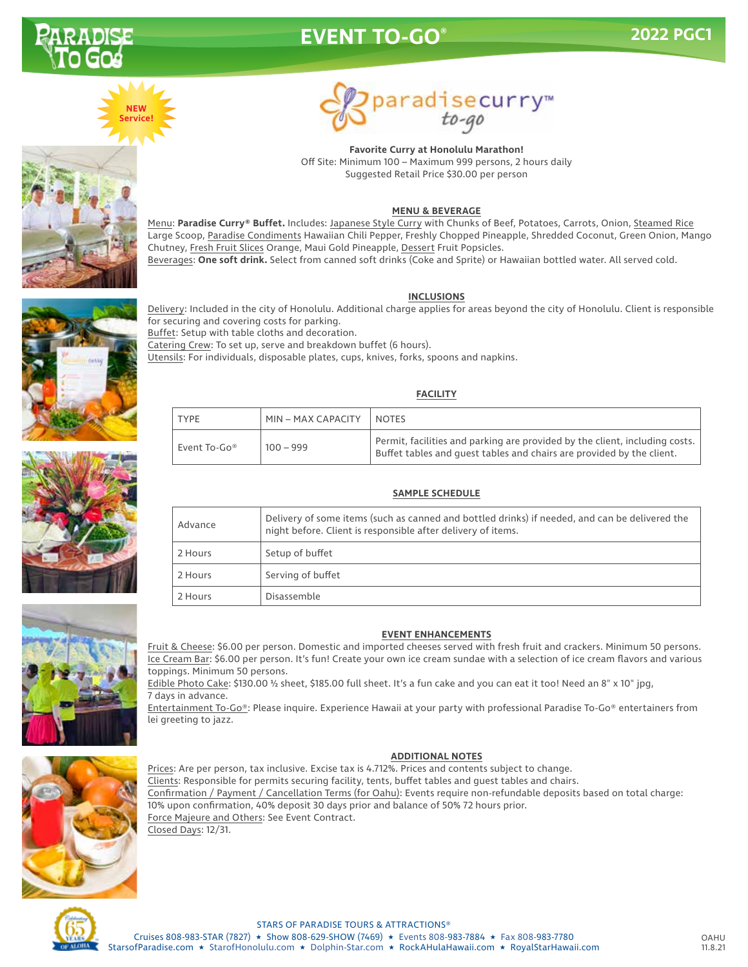

## **EVENT TO-GO®**







**Favorite Curry at Honolulu Marathon!** Off Site: Minimum 100 – Maximum 999 persons, 2 hours daily Suggested Retail Price \$30.00 per person

#### **MENU & BEVERAGE**

Menu: **Paradise Curry® Buffet.** Includes: Japanese Style Curry with Chunks of Beef, Potatoes, Carrots, Onion, Steamed Rice Large Scoop, Paradise Condiments Hawaiian Chili Pepper, Freshly Chopped Pineapple, Shredded Coconut, Green Onion, Mango Chutney, Fresh Fruit Slices Orange, Maui Gold Pineapple, Dessert Fruit Popsicles. Beverages: **One soft drink.** Select from canned soft drinks (Coke and Sprite) or Hawaiian bottled water. All served cold.

#### **INCLUSIONS**



Delivery: Included in the city of Honolulu. Additional charge applies for areas beyond the city of Honolulu. Client is responsible for securing and covering costs for parking. Buffet: Setup with table cloths and decoration. Catering Crew: To set up, serve and breakdown buffet (6 hours). Utensils: For individuals, disposable plates, cups, knives, forks, spoons and napkins.

#### **FACILITY**

| <b>TYPE</b>  | MIN – MAX CAPACITY | <b>NOTES</b>                                                                                                                                         |
|--------------|--------------------|------------------------------------------------------------------------------------------------------------------------------------------------------|
| Event To-Go® | 100 – 999          | Permit, facilities and parking are provided by the client, including costs.<br>Buffet tables and quest tables and chairs are provided by the client. |

| <b>SAMPLE SCHEDULE</b> |                                                                                                                                                                |  |  |
|------------------------|----------------------------------------------------------------------------------------------------------------------------------------------------------------|--|--|
| Advance                | Delivery of some items (such as canned and bottled drinks) if needed, and can be delivered the<br>night before. Client is responsible after delivery of items. |  |  |
| 2 Hours                | Setup of buffet                                                                                                                                                |  |  |
| 2 Hours                | Serving of buffet                                                                                                                                              |  |  |
| 2 Hours                | Disassemble                                                                                                                                                    |  |  |



#### **EVENT ENHANCEMENTS**

Fruit & Cheese: \$6.00 per person. Domestic and imported cheeses served with fresh fruit and crackers. Minimum 50 persons. Ice Cream Bar: \$6.00 per person. It's fun! Create your own ice cream sundae with a selection of ice cream flavors and various toppings. Minimum 50 persons.

Edible Photo Cake: \$130.00 ½ sheet, \$185.00 full sheet. It's a fun cake and you can eat it too! Need an 8" x 10" jpg, 7 days in advance.

Entertainment To-Go®: Please inquire. Experience Hawaii at your party with professional Paradise To-Go® entertainers from lei greeting to jazz.

#### **ADDITIONAL NOTES**

Prices: Are per person, tax inclusive. Excise tax is 4.712%. Prices and contents subject to change. Clients: Responsible for permits securing facility, tents, buffet tables and guest tables and chairs. Confirmation / Payment / Cancellation Terms (for Oahu): Events require non-refundable deposits based on total charge: 10% upon confirmation, 40% deposit 30 days prior and balance of 50% 72 hours prior. Force Majeure and Others: See Event Contract. Closed Days: 12/31.